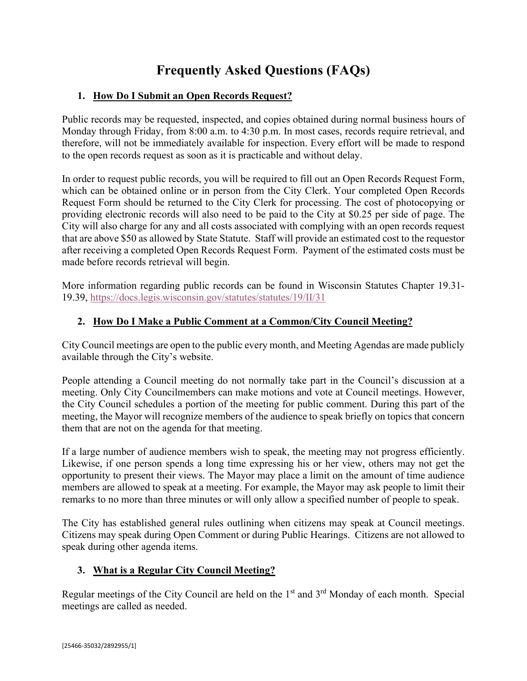# **Frequently Asked Questions (FAQs)**

## **1. How Do I Submit an Open Records Request?**

Public records may be requested, inspected, and copies obtained during normal business hours of Monday through Friday, from 8:00 a.m. to 4:30 p.m. In most cases, records require retrieval, and therefore, will not be immediately available for inspection. Every effort will be made to respond to the open records request as soon as it is practicable and without delay.

In order to request public records, you will be required to fill out an Open Records Request Form, which can be obtained online or in person from the City Clerk. Your completed Open Records Request Form should be returned to the City Clerk for processing. The cost of photocopying or providing electronic records will also need to be paid to the City at \$0.25 per side of page. The City will also charge for any and all costs associated with complying with an open records request that are above \$50 as allowed by State Statute. Staff will provide an estimated cost to the requestor after receiving a completed Open Records Request Form. Payment of the estimated costs must be made before records retrieval will begin.

More information regarding public records can be found in Wisconsin Statutes Chapter 19.31- 19.39,<https://docs.legis.wisconsin.gov/statutes/statutes/19/II/31>

### **2. How Do I Make a Public Comment at a Common/City Council Meeting?**

City Council meetings are open to the public every month, and Meeting Agendas are made publicly available through the City's website.

People attending a Council meeting do not normally take part in the Council's discussion at a meeting. Only City Councilmembers can make motions and vote at Council meetings. However, the City Council schedules a portion of the meeting for public comment. During this part of the meeting, the Mayor will recognize members of the audience to speak briefly on topics that concern them that are not on the agenda for that meeting.

If a large number of audience members wish to speak, the meeting may not progress efficiently. Likewise, if one person spends a long time expressing his or her view, others may not get the opportunity to present their views. The Mayor may place a limit on the amount of time audience members are allowed to speak at a meeting. For example, the Mayor may ask people to limit their remarks to no more than three minutes or will only allow a specified number of people to speak.

The City has established general rules outlining when citizens may speak at Council meetings. Citizens may speak during Open Comment or during Public Hearings. Citizens are not allowed to speak during other agenda items.

#### **3. What is a Regular City Council Meeting?**

Regular meetings of the City Council are held on the 1<sup>st</sup> and 3<sup>rd</sup> Monday of each month. Special meetings are called as needed.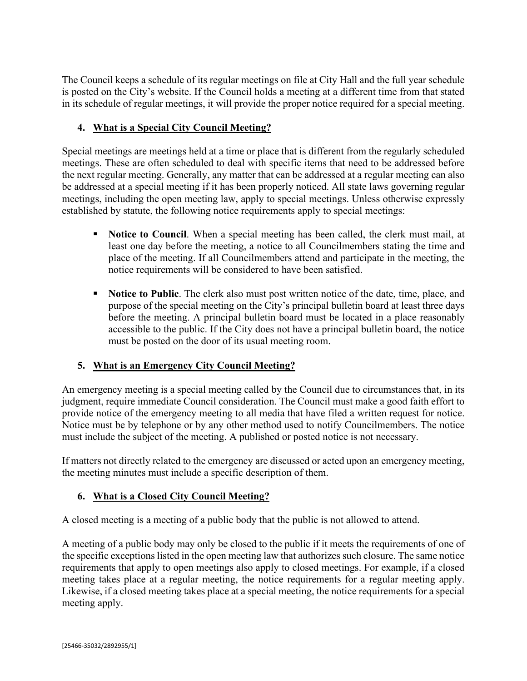The Council keeps a schedule of its regular meetings on file at City Hall and the full year schedule is posted on the City's website. If the Council holds a meeting at a different time from that stated in its schedule of regular meetings, it will provide the proper notice required for a special meeting.

## **4. What is a Special City Council Meeting?**

Special meetings are meetings held at a time or place that is different from the regularly scheduled meetings. These are often scheduled to deal with specific items that need to be addressed before the next regular meeting. Generally, any matter that can be addressed at a regular meeting can also be addressed at a special meeting if it has been properly noticed. All state laws governing regular meetings, including the open meeting law, apply to special meetings. Unless otherwise expressly established by statute, the following notice requirements apply to special meetings:

- **Notice to Council.** When a special meeting has been called, the clerk must mail, at least one day before the meeting, a notice to all Councilmembers stating the time and place of the meeting. If all Councilmembers attend and participate in the meeting, the notice requirements will be considered to have been satisfied.
- **Notice to Public**. The clerk also must post written notice of the date, time, place, and purpose of the special meeting on the City's principal bulletin board at least three days before the meeting. A principal bulletin board must be located in a place reasonably accessible to the public. If the City does not have a principal bulletin board, the notice must be posted on the door of its usual meeting room.

## **5. What is an Emergency City Council Meeting?**

An emergency meeting is a special meeting called by the Council due to circumstances that, in its judgment, require immediate Council consideration. The Council must make a good faith effort to provide notice of the emergency meeting to all media that have filed a written request for notice. Notice must be by telephone or by any other method used to notify Councilmembers. The notice must include the subject of the meeting. A published or posted notice is not necessary.

If matters not directly related to the emergency are discussed or acted upon an emergency meeting, the meeting minutes must include a specific description of them.

#### **6. What is a Closed City Council Meeting?**

A closed meeting is a meeting of a public body that the public is not allowed to attend.

A meeting of a public body may only be closed to the public if it meets the requirements of one of the specific exceptions listed in the open meeting law that authorizes such closure. The same notice requirements that apply to open meetings also apply to closed meetings. For example, if a closed meeting takes place at a regular meeting, the notice requirements for a regular meeting apply. Likewise, if a closed meeting takes place at a special meeting, the notice requirements for a special meeting apply.